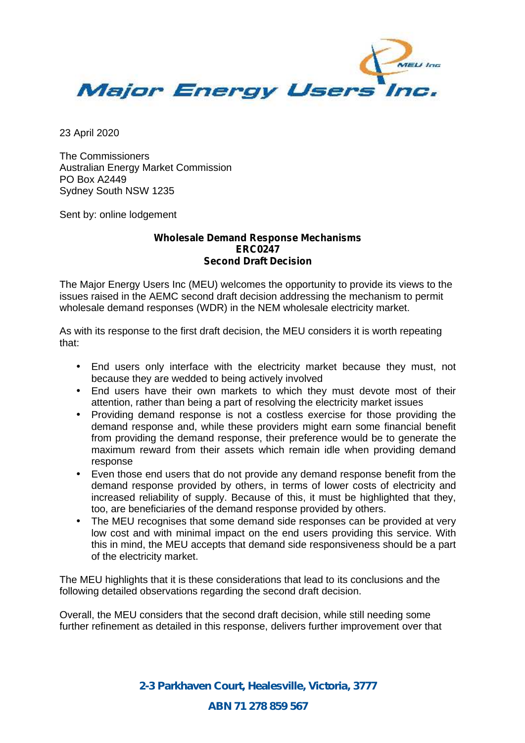

23 April 2020

The Commissioners Australian Energy Market Commission PO Box A2449 Sydney South NSW 1235

Sent by: online lodgement

# **Wholesale Demand Response Mechanisms ERC0247 Second Draft Decision**

The Major Energy Users Inc (MEU) welcomes the opportunity to provide its views to the issues raised in the AEMC second draft decision addressing the mechanism to permit wholesale demand responses (WDR) in the NEM wholesale electricity market.

As with its response to the first draft decision, the MEU considers it is worth repeating that:

- End users only interface with the electricity market because they must, not because they are wedded to being actively involved
- End users have their own markets to which they must devote most of their attention, rather than being a part of resolving the electricity market issues
- Providing demand response is not a costless exercise for those providing the demand response and, while these providers might earn some financial benefit from providing the demand response, their preference would be to generate the maximum reward from their assets which remain idle when providing demand response
- Even those end users that do not provide any demand response benefit from the demand response provided by others, in terms of lower costs of electricity and increased reliability of supply. Because of this, it must be highlighted that they, too, are beneficiaries of the demand response provided by others.
- The MEU recognises that some demand side responses can be provided at very low cost and with minimal impact on the end users providing this service. With this in mind, the MEU accepts that demand side responsiveness should be a part of the electricity market.

The MEU highlights that it is these considerations that lead to its conclusions and the following detailed observations regarding the second draft decision.

Overall, the MEU considers that the second draft decision, while still needing some further refinement as detailed in this response, delivers further improvement over that

> *2-3 Parkhaven Court, Healesville, Victoria, 3777 ABN 71 278 859 567*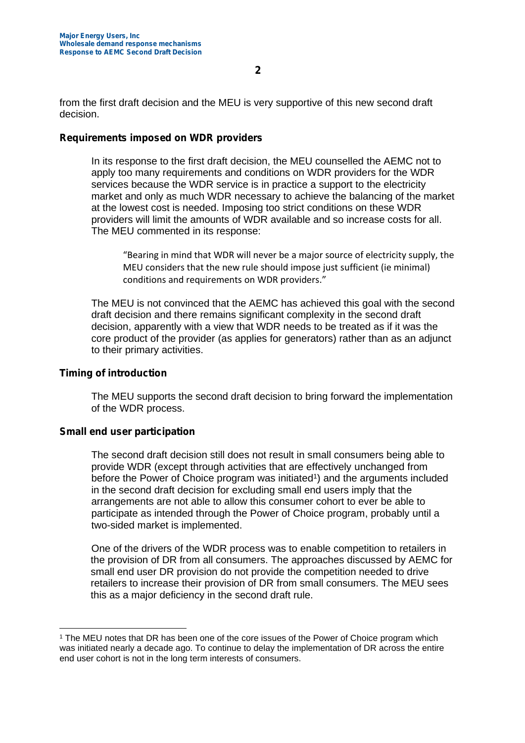from the first draft decision and the MEU is very supportive of this new second draft decision.

### **Requirements imposed on WDR providers**

In its response to the first draft decision, the MEU counselled the AEMC not to apply too many requirements and conditions on WDR providers for the WDR services because the WDR service is in practice a support to the electricity market and only as much WDR necessary to achieve the balancing of the market at the lowest cost is needed. Imposing too strict conditions on these WDR providers will limit the amounts of WDR available and so increase costs for all. The MEU commented in its response:

"Bearing in mind that WDR will never be a major source of electricity supply, the MEU considers that the new rule should impose just sufficient (ie minimal) conditions and requirements on WDR providers."

The MEU is not convinced that the AEMC has achieved this goal with the second draft decision and there remains significant complexity in the second draft decision, apparently with a view that WDR needs to be treated as if it was the core product of the provider (as applies for generators) rather than as an adjunct to their primary activities.

# **Timing of introduction**

The MEU supports the second draft decision to bring forward the implementation of the WDR process.

# **Small end user participation**

The second draft decision still does not result in small consumers being able to provide WDR (except through activities that are effectively unchanged from before the Power of Choice program was initiated<sup>1</sup>) and the arguments included in the second draft decision for excluding small end users imply that the arrangements are not able to allow this consumer cohort to ever be able to participate as intended through the Power of Choice program, probably until a two-sided market is implemented.

One of the drivers of the WDR process was to enable competition to retailers in the provision of DR from all consumers. The approaches discussed by AEMC for small end user DR provision do not provide the competition needed to drive retailers to increase their provision of DR from small consumers. The MEU sees this as a major deficiency in the second draft rule.

<sup>1</sup> The MEU notes that DR has been one of the core issues of the Power of Choice program which was initiated nearly a decade ago. To continue to delay the implementation of DR across the entire end user cohort is not in the long term interests of consumers.